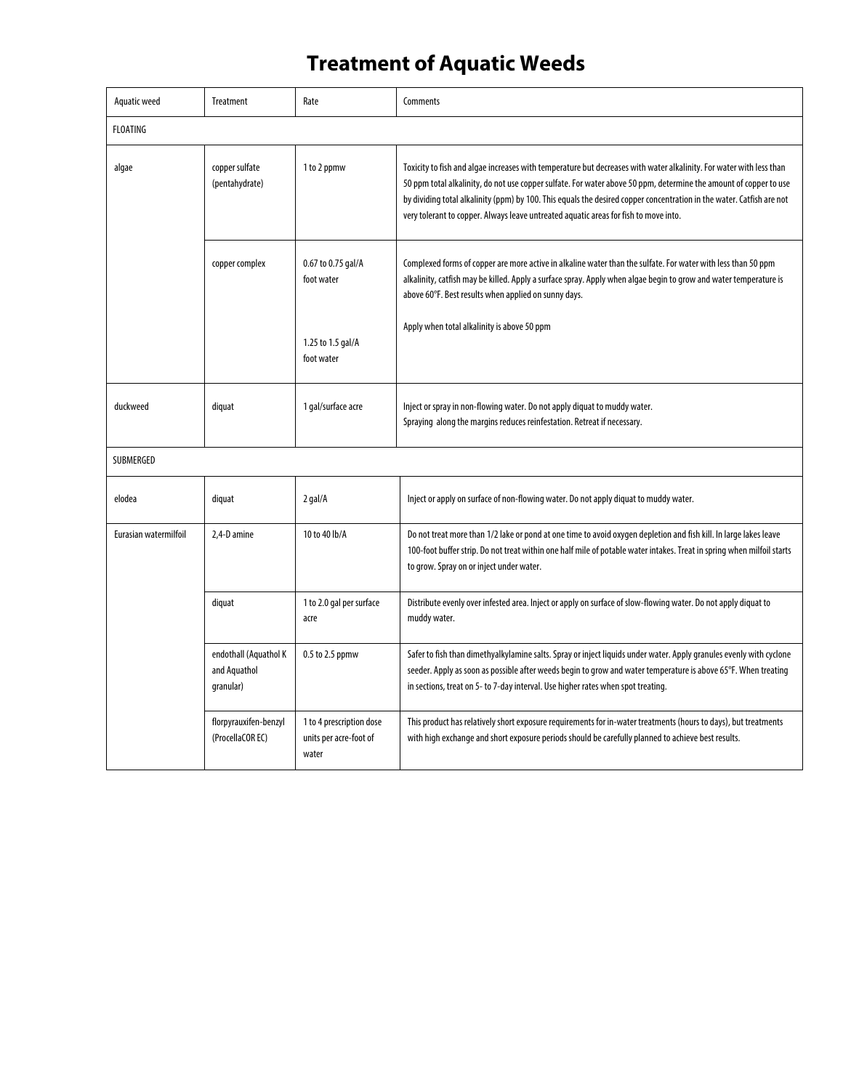## **Treatment of Aquatic Weeds**

| Aquatic weed          | <b>Treatment</b>                                   | Rate                                                                | Comments                                                                                                                                                                                                                                                                                                                                                                                                                                                  |  |
|-----------------------|----------------------------------------------------|---------------------------------------------------------------------|-----------------------------------------------------------------------------------------------------------------------------------------------------------------------------------------------------------------------------------------------------------------------------------------------------------------------------------------------------------------------------------------------------------------------------------------------------------|--|
| <b>FLOATING</b>       |                                                    |                                                                     |                                                                                                                                                                                                                                                                                                                                                                                                                                                           |  |
| algae                 | copper sulfate<br>(pentahydrate)                   | 1 to 2 ppmw                                                         | Toxicity to fish and algae increases with temperature but decreases with water alkalinity. For water with less than<br>50 ppm total alkalinity, do not use copper sulfate. For water above 50 ppm, determine the amount of copper to use<br>by dividing total alkalinity (ppm) by 100. This equals the desired copper concentration in the water. Catfish are not<br>very tolerant to copper. Always leave untreated aquatic areas for fish to move into. |  |
|                       | copper complex                                     | 0.67 to 0.75 gal/A<br>foot water<br>1.25 to 1.5 gal/A<br>foot water | Complexed forms of copper are more active in alkaline water than the sulfate. For water with less than 50 ppm<br>alkalinity, catfish may be killed. Apply a surface spray. Apply when algae begin to grow and water temperature is<br>above 60°F. Best results when applied on sunny days.<br>Apply when total alkalinity is above 50 ppm                                                                                                                 |  |
| duckweed              | diquat                                             | 1 gal/surface acre                                                  | Inject or spray in non-flowing water. Do not apply diquat to muddy water.<br>Spraying along the margins reduces reinfestation. Retreat if necessary.                                                                                                                                                                                                                                                                                                      |  |
| SUBMERGED             |                                                    |                                                                     |                                                                                                                                                                                                                                                                                                                                                                                                                                                           |  |
| elodea                | diquat                                             | 2 gal/A                                                             | Inject or apply on surface of non-flowing water. Do not apply diquat to muddy water.                                                                                                                                                                                                                                                                                                                                                                      |  |
| Eurasian watermilfoil | 2,4-D amine                                        | 10 to 40 lb/A                                                       | Do not treat more than 1/2 lake or pond at one time to avoid oxygen depletion and fish kill. In large lakes leave<br>100-foot buffer strip. Do not treat within one half mile of potable water intakes. Treat in spring when milfoil starts<br>to grow. Spray on or inject under water.                                                                                                                                                                   |  |
|                       | diquat                                             | 1 to 2.0 gal per surface<br>acre                                    | Distribute evenly over infested area. Inject or apply on surface of slow-flowing water. Do not apply diquat to<br>muddy water.                                                                                                                                                                                                                                                                                                                            |  |
|                       | endothall (Aquathol K<br>and Aquathol<br>qranular) | 0.5 to 2.5 ppmw                                                     | Safer to fish than dimethyalkylamine salts. Spray or inject liquids under water. Apply granules evenly with cyclone<br>seeder. Apply as soon as possible after weeds begin to grow and water temperature is above 65°F. When treating<br>in sections, treat on 5- to 7-day interval. Use higher rates when spot treating.                                                                                                                                 |  |
|                       | florpyrauxifen-benzyl<br>(ProcellaCOREC)           | 1 to 4 prescription dose<br>units per acre-foot of<br>water         | This product has relatively short exposure requirements for in-water treatments (hours to days), but treatments<br>with high exchange and short exposure periods should be carefully planned to achieve best results.                                                                                                                                                                                                                                     |  |